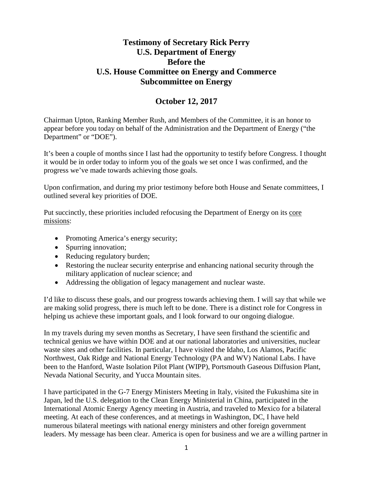# **Testimony of Secretary Rick Perry U.S. Department of Energy Before the U.S. House Committee on Energy and Commerce Subcommittee on Energy**

# **October 12, 2017**

Chairman Upton, Ranking Member Rush, and Members of the Committee, it is an honor to appear before you today on behalf of the Administration and the Department of Energy ("the Department" or "DOE").

It's been a couple of months since I last had the opportunity to testify before Congress. I thought it would be in order today to inform you of the goals we set once I was confirmed, and the progress we've made towards achieving those goals.

Upon confirmation, and during my prior testimony before both House and Senate committees, I outlined several key priorities of DOE.

Put succinctly, these priorities included refocusing the Department of Energy on its core missions:

- Promoting America's energy security;
- Spurring innovation;
- Reducing regulatory burden;
- Restoring the nuclear security enterprise and enhancing national security through the military application of nuclear science; and
- Addressing the obligation of legacy management and nuclear waste.

I'd like to discuss these goals, and our progress towards achieving them. I will say that while we are making solid progress, there is much left to be done. There is a distinct role for Congress in helping us achieve these important goals, and I look forward to our ongoing dialogue.

In my travels during my seven months as Secretary, I have seen firsthand the scientific and technical genius we have within DOE and at our national laboratories and universities, nuclear waste sites and other facilities. In particular, I have visited the Idaho, Los Alamos, Pacific Northwest, Oak Ridge and National Energy Technology (PA and WV) National Labs. I have been to the Hanford, Waste Isolation Pilot Plant (WIPP), Portsmouth Gaseous Diffusion Plant, Nevada National Security, and Yucca Mountain sites.

I have participated in the G-7 Energy Ministers Meeting in Italy, visited the Fukushima site in Japan, led the U.S. delegation to the Clean Energy Ministerial in China, participated in the International Atomic Energy Agency meeting in Austria, and traveled to Mexico for a bilateral meeting. At each of these conferences, and at meetings in Washington, DC, I have held numerous bilateral meetings with national energy ministers and other foreign government leaders. My message has been clear. America is open for business and we are a willing partner in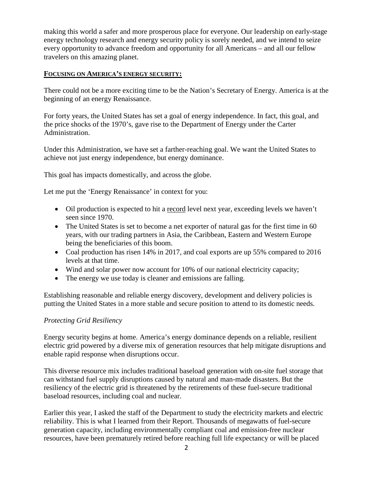making this world a safer and more prosperous place for everyone. Our leadership on early-stage energy technology research and energy security policy is sorely needed, and we intend to seize every opportunity to advance freedom and opportunity for all Americans – and all our fellow travelers on this amazing planet.

### **FOCUSING ON AMERICA'S ENERGY SECURITY:**

There could not be a more exciting time to be the Nation's Secretary of Energy. America is at the beginning of an energy Renaissance.

For forty years, the United States has set a goal of energy independence. In fact, this goal, and the price shocks of the 1970's, gave rise to the Department of Energy under the Carter Administration.

Under this Administration, we have set a farther-reaching goal. We want the United States to achieve not just energy independence, but energy dominance.

This goal has impacts domestically, and across the globe.

Let me put the 'Energy Renaissance' in context for you:

- Oil production is expected to hit a record level next year, exceeding levels we haven't seen since 1970.
- The United States is set to become a net exporter of natural gas for the first time in 60 years, with our trading partners in Asia, the Caribbean, Eastern and Western Europe being the beneficiaries of this boom.
- Coal production has risen 14% in 2017, and coal exports are up 55% compared to 2016 levels at that time.
- Wind and solar power now account for 10% of our national electricity capacity;
- The energy we use today is cleaner and emissions are falling.

Establishing reasonable and reliable energy discovery, development and delivery policies is putting the United States in a more stable and secure position to attend to its domestic needs.

### *Protecting Grid Resiliency*

Energy security begins at home. America's energy dominance depends on a reliable, resilient electric grid powered by a diverse mix of generation resources that help mitigate disruptions and enable rapid response when disruptions occur.

This diverse resource mix includes traditional baseload generation with on-site fuel storage that can withstand fuel supply disruptions caused by natural and man-made disasters. But the resiliency of the electric grid is threatened by the retirements of these fuel-secure traditional baseload resources, including coal and nuclear.

Earlier this year, I asked the staff of the Department to study the electricity markets and electric reliability. This is what I learned from their Report. Thousands of megawatts of fuel-secure generation capacity, including environmentally compliant coal and emission-free nuclear resources, have been prematurely retired before reaching full life expectancy or will be placed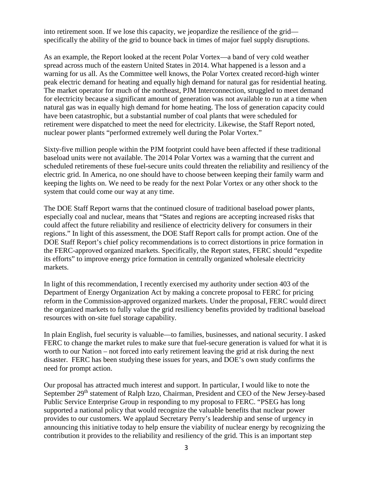into retirement soon. If we lose this capacity, we jeopardize the resilience of the grid specifically the ability of the grid to bounce back in times of major fuel supply disruptions.

As an example, the Report looked at the recent Polar Vortex—a band of very cold weather spread across much of the eastern United States in 2014. What happened is a lesson and a warning for us all. As the Committee well knows, the Polar Vortex created record-high winter peak electric demand for heating and equally high demand for natural gas for residential heating. The market operator for much of the northeast, PJM Interconnection, struggled to meet demand for electricity because a significant amount of generation was not available to run at a time when natural gas was in equally high demand for home heating. The loss of generation capacity could have been catastrophic, but a substantial number of coal plants that were scheduled for retirement were dispatched to meet the need for electricity. Likewise, the Staff Report noted, nuclear power plants "performed extremely well during the Polar Vortex."

Sixty-five million people within the PJM footprint could have been affected if these traditional baseload units were not available. The 2014 Polar Vortex was a warning that the current and scheduled retirements of these fuel-secure units could threaten the reliability and resiliency of the electric grid. In America, no one should have to choose between keeping their family warm and keeping the lights on. We need to be ready for the next Polar Vortex or any other shock to the system that could come our way at any time.

The DOE Staff Report warns that the continued closure of traditional baseload power plants, especially coal and nuclear, means that "States and regions are accepting increased risks that could affect the future reliability and resilience of electricity delivery for consumers in their regions." In light of this assessment, the DOE Staff Report calls for prompt action. One of the DOE Staff Report's chief policy recommendations is to correct distortions in price formation in the FERC-approved organized markets. Specifically, the Report states, FERC should "expedite its efforts" to improve energy price formation in centrally organized wholesale electricity markets.

In light of this recommendation, I recently exercised my authority under section 403 of the Department of Energy Organization Act by making a concrete proposal to FERC for pricing reform in the Commission-approved organized markets. Under the proposal, FERC would direct the organized markets to fully value the grid resiliency benefits provided by traditional baseload resources with on-site fuel storage capability.

In plain English, fuel security is valuable—to families, businesses, and national security. I asked FERC to change the market rules to make sure that fuel-secure generation is valued for what it is worth to our Nation – not forced into early retirement leaving the grid at risk during the next disaster. FERC has been studying these issues for years, and DOE's own study confirms the need for prompt action.

Our proposal has attracted much interest and support. In particular, I would like to note the September 29<sup>th</sup> statement of Ralph Izzo, Chairman, President and CEO of the New Jersey-based Public Service Enterprise Group in responding to my proposal to FERC. "PSEG has long supported a national policy that would recognize the valuable benefits that nuclear power provides to our customers. We applaud Secretary Perry's leadership and sense of urgency in announcing this initiative today to help ensure the viability of nuclear energy by recognizing the contribution it provides to the reliability and resiliency of the grid. This is an important step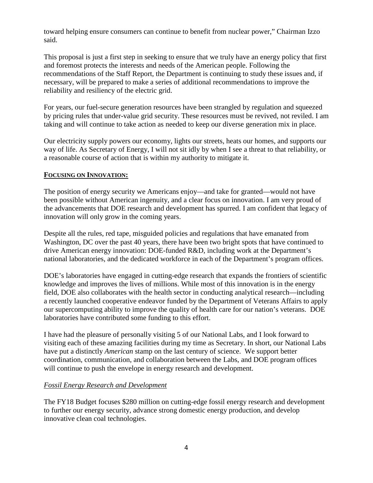toward helping ensure consumers can continue to benefit from nuclear power," Chairman Izzo said.

This proposal is just a first step in seeking to ensure that we truly have an energy policy that first and foremost protects the interests and needs of the American people. Following the recommendations of the Staff Report, the Department is continuing to study these issues and, if necessary, will be prepared to make a series of additional recommendations to improve the reliability and resiliency of the electric grid.

For years, our fuel-secure generation resources have been strangled by regulation and squeezed by pricing rules that under-value grid security. These resources must be revived, not reviled. I am taking and will continue to take action as needed to keep our diverse generation mix in place.

Our electricity supply powers our economy, lights our streets, heats our homes, and supports our way of life. As Secretary of Energy, I will not sit idly by when I see a threat to that reliability, or a reasonable course of action that is within my authority to mitigate it.

### **FOCUSING ON INNOVATION:**

The position of energy security we Americans enjoy—and take for granted—would not have been possible without American ingenuity, and a clear focus on innovation. I am very proud of the advancements that DOE research and development has spurred. I am confident that legacy of innovation will only grow in the coming years.

Despite all the rules, red tape, misguided policies and regulations that have emanated from Washington, DC over the past 40 years, there have been two bright spots that have continued to drive American energy innovation: DOE-funded R&D, including work at the Department's national laboratories, and the dedicated workforce in each of the Department's program offices.

DOE's laboratories have engaged in cutting-edge research that expands the frontiers of scientific knowledge and improves the lives of millions. While most of this innovation is in the energy field, DOE also collaborates with the health sector in conducting analytical research—including a recently launched cooperative endeavor funded by the Department of Veterans Affairs to apply our supercomputing ability to improve the quality of health care for our nation's veterans. DOE laboratories have contributed some funding to this effort.

I have had the pleasure of personally visiting 5 of our National Labs, and I look forward to visiting each of these amazing facilities during my time as Secretary. In short, our National Labs have put a distinctly *American* stamp on the last century of science. We support better coordination, communication, and collaboration between the Labs, and DOE program offices will continue to push the envelope in energy research and development.

## *Fossil Energy Research and Development*

The FY18 Budget focuses \$280 million on cutting-edge fossil energy research and development to further our energy security, advance strong domestic energy production, and develop innovative clean coal technologies.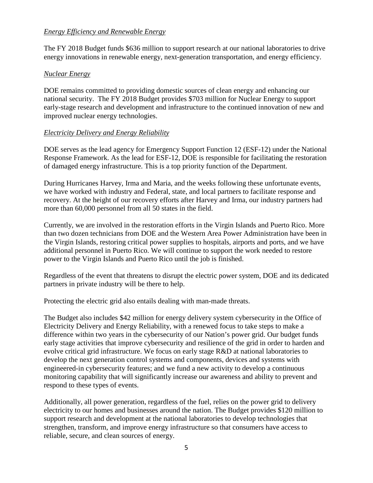### *Energy Efficiency and Renewable Energy*

The FY 2018 Budget funds \$636 million to support research at our national laboratories to drive energy innovations in renewable energy, next-generation transportation, and energy efficiency.

## *Nuclear Energy*

DOE remains committed to providing domestic sources of clean energy and enhancing our national security. The FY 2018 Budget provides \$703 million for Nuclear Energy to support early-stage research and development and infrastructure to the continued innovation of new and improved nuclear energy technologies.

# *Electricity Delivery and Energy Reliability*

DOE serves as the lead agency for Emergency Support Function 12 (ESF-12) under the National Response Framework. As the lead for ESF-12, DOE is responsible for facilitating the restoration of damaged energy infrastructure. This is a top priority function of the Department.

During Hurricanes Harvey, Irma and Maria, and the weeks following these unfortunate events, we have worked with industry and Federal, state, and local partners to facilitate response and recovery. At the height of our recovery efforts after Harvey and Irma, our industry partners had more than 60,000 personnel from all 50 states in the field.

Currently, we are involved in the restoration efforts in the Virgin Islands and Puerto Rico. More than two dozen technicians from DOE and the Western Area Power Administration have been in the Virgin Islands, restoring critical power supplies to hospitals, airports and ports, and we have additional personnel in Puerto Rico. We will continue to support the work needed to restore power to the Virgin Islands and Puerto Rico until the job is finished.

Regardless of the event that threatens to disrupt the electric power system, DOE and its dedicated partners in private industry will be there to help.

Protecting the electric grid also entails dealing with man-made threats.

The Budget also includes \$42 million for energy delivery system cybersecurity in the Office of Electricity Delivery and Energy Reliability, with a renewed focus to take steps to make a difference within two years in the cybersecurity of our Nation's power grid. Our budget funds early stage activities that improve cybersecurity and resilience of the grid in order to harden and evolve critical grid infrastructure. We focus on early stage R&D at national laboratories to develop the next generation control systems and components, devices and systems with engineered-in cybersecurity features; and we fund a new activity to develop a continuous monitoring capability that will significantly increase our awareness and ability to prevent and respond to these types of events.

Additionally, all power generation, regardless of the fuel, relies on the power grid to delivery electricity to our homes and businesses around the nation. The Budget provides \$120 million to support research and development at the national laboratories to develop technologies that strengthen, transform, and improve energy infrastructure so that consumers have access to reliable, secure, and clean sources of energy.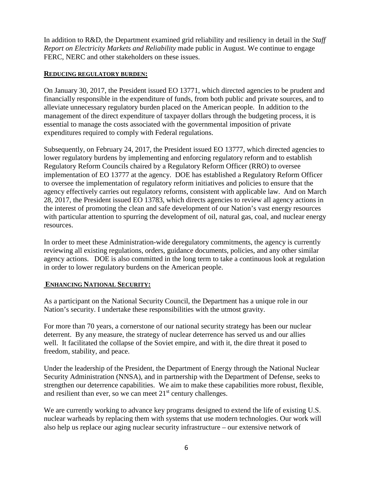In addition to R&D, the Department examined grid reliability and resiliency in detail in the *Staff Report on Electricity Markets and Reliability* made public in August. We continue to engage FERC, NERC and other stakeholders on these issues.

### **REDUCING REGULATORY BURDEN:**

On January 30, 2017, the President issued EO 13771, which directed agencies to be prudent and financially responsible in the expenditure of funds, from both public and private sources, and to alleviate unnecessary regulatory burden placed on the American people. In addition to the management of the direct expenditure of taxpayer dollars through the budgeting process, it is essential to manage the costs associated with the governmental imposition of private expenditures required to comply with Federal regulations.

Subsequently, on February 24, 2017, the President issued EO 13777, which directed agencies to lower regulatory burdens by implementing and enforcing regulatory reform and to establish Regulatory Reform Councils chaired by a Regulatory Reform Officer (RRO) to oversee implementation of EO 13777 at the agency. DOE has established a Regulatory Reform Officer to oversee the implementation of regulatory reform initiatives and policies to ensure that the agency effectively carries out regulatory reforms, consistent with applicable law. And on March 28, 2017, the President issued EO 13783, which directs agencies to review all agency actions in the interest of promoting the clean and safe development of our Nation's vast energy resources with particular attention to spurring the development of oil, natural gas, coal, and nuclear energy resources.

In order to meet these Administration-wide deregulatory commitments, the agency is currently reviewing all existing regulations, orders, guidance documents, policies, and any other similar agency actions. DOE is also committed in the long term to take a continuous look at regulation in order to lower regulatory burdens on the American people.

## **ENHANCING NATIONAL SECURITY:**

As a participant on the National Security Council, the Department has a unique role in our Nation's security. I undertake these responsibilities with the utmost gravity.

For more than 70 years, a cornerstone of our national security strategy has been our nuclear deterrent. By any measure, the strategy of nuclear deterrence has served us and our allies well. It facilitated the collapse of the Soviet empire, and with it, the dire threat it posed to freedom, stability, and peace.

Under the leadership of the President, the Department of Energy through the National Nuclear Security Administration (NNSA), and in partnership with the Department of Defense, seeks to strengthen our deterrence capabilities. We aim to make these capabilities more robust, flexible, and resilient than ever, so we can meet  $21<sup>st</sup>$  century challenges.

We are currently working to advance key programs designed to extend the life of existing U.S. nuclear warheads by replacing them with systems that use modern technologies. Our work will also help us replace our aging nuclear security infrastructure – our extensive network of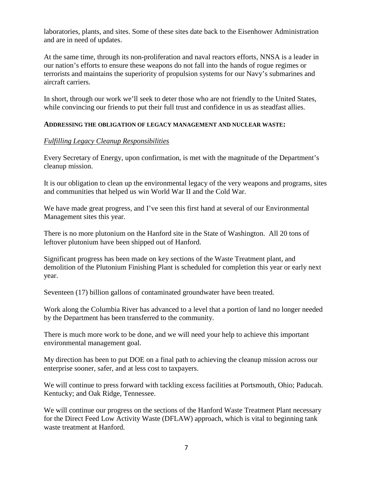laboratories, plants, and sites. Some of these sites date back to the Eisenhower Administration and are in need of updates.

At the same time, through its non-proliferation and naval reactors efforts, NNSA is a leader in our nation's efforts to ensure these weapons do not fall into the hands of rogue regimes or terrorists and maintains the superiority of propulsion systems for our Navy's submarines and aircraft carriers.

In short, through our work we'll seek to deter those who are not friendly to the United States, while convincing our friends to put their full trust and confidence in us as steadfast allies.

### **ADDRESSING THE OBLIGATION OF LEGACY MANAGEMENT AND NUCLEAR WASTE:**

### *Fulfilling Legacy Cleanup Responsibilities*

Every Secretary of Energy, upon confirmation, is met with the magnitude of the Department's cleanup mission.

It is our obligation to clean up the environmental legacy of the very weapons and programs, sites and communities that helped us win World War II and the Cold War.

We have made great progress, and I've seen this first hand at several of our Environmental Management sites this year.

There is no more plutonium on the Hanford site in the State of Washington. All 20 tons of leftover plutonium have been shipped out of Hanford.

Significant progress has been made on key sections of the Waste Treatment plant, and demolition of the Plutonium Finishing Plant is scheduled for completion this year or early next year.

Seventeen (17) billion gallons of contaminated groundwater have been treated.

Work along the Columbia River has advanced to a level that a portion of land no longer needed by the Department has been transferred to the community.

There is much more work to be done, and we will need your help to achieve this important environmental management goal.

My direction has been to put DOE on a final path to achieving the cleanup mission across our enterprise sooner, safer, and at less cost to taxpayers.

We will continue to press forward with tackling excess facilities at Portsmouth, Ohio; Paducah. Kentucky; and Oak Ridge, Tennessee.

We will continue our progress on the sections of the Hanford Waste Treatment Plant necessary for the Direct Feed Low Activity Waste (DFLAW) approach, which is vital to beginning tank waste treatment at Hanford.